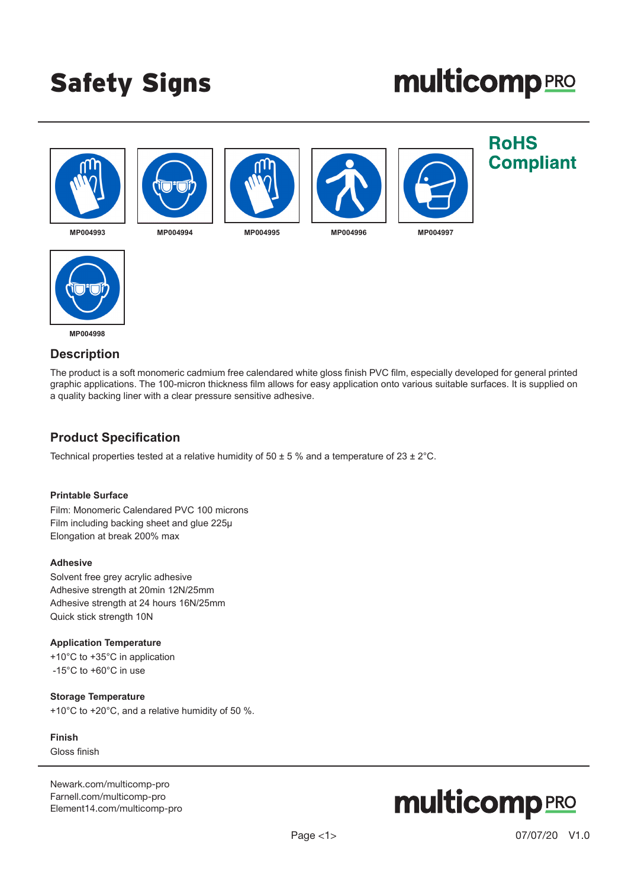## Safety Signs

# **multicomp**PRO











**RoHS Compliant** 

**MP004993 MP004994 MP004995 MP004996 MP004997**



**MP004998**

#### **Description**

The product is a soft monomeric cadmium free calendared white gloss finish PVC film, especially developed for general printed graphic applications. The 100-micron thickness film allows for easy application onto various suitable surfaces. It is supplied on a quality backing liner with a clear pressure sensitive adhesive.

### **Product Specification**

Technical properties tested at a relative humidity of  $50 \pm 5$  % and a temperature of  $23 \pm 2$  °C.

#### **Printable Surface**

Film: Monomeric Calendared PVC 100 microns Film including backing sheet and glue 225μ Elongation at break 200% max

#### **Adhesive**

Solvent free grey acrylic adhesive Adhesive strength at 20min 12N/25mm Adhesive strength at 24 hours 16N/25mm Quick stick strength 10N

#### **Application Temperature**

+10°C to +35°C in application -15°C to +60°C in use

#### **Storage Temperature**

+10°C to +20°C, and a relative humidity of 50 %.

**Finish** Gloss finish

[Newark.com/multicomp-](https://www.newark.com/multicomp-pro)pro [Farnell.com/multicomp](https://www.farnell.com/multicomp-pro)-pro [Element14.com/multicomp-pro](https://element14.com/multicomp-pro)

# **multicomp**PRO